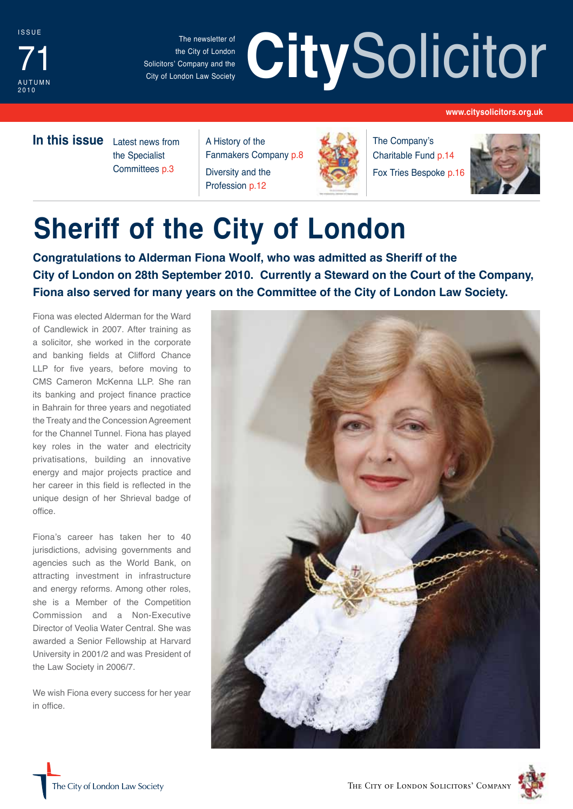

The newsletter of the City of London Solicitors' Company and the City of London Law Society

# The newsletter of the City of London<br>
Solicitors' Company and the City of London Law Society

#### **www.citysolicitors.org.uk**

**In this issue** Latest news from

the Specialist Committees p.3

A History of the Fanmakers Company p.8 Diversity and the Profession p.12



The Company's Charitable Fund p.14 Fox Tries Bespoke p.16



# **Sheriff of the City of London**

**Congratulations to Alderman Fiona Woolf, who was admitted as Sheriff of the City of London on 28th September 2010. Currently a Steward on the Court of the Company, Fiona also served for many years on the Committee of the City of London Law Society.**

Fiona was elected Alderman for the Ward of Candlewick in 2007. After training as a solicitor, she worked in the corporate and banking fields at Clifford Chance LLP for five years, before moving to CMS Cameron McKenna LLP. She ran its banking and project finance practice in Bahrain for three years and negotiated the Treaty and the Concession Agreement for the Channel Tunnel. Fiona has played key roles in the water and electricity privatisations, building an innovative energy and major projects practice and her career in this field is reflected in the unique design of her Shrieval badge of office.

Fiona's career has taken her to 40 jurisdictions, advising governments and agencies such as the World Bank, on attracting investment in infrastructure and energy reforms. Among other roles, she is a Member of the Competition Commission and a Non-Executive Director of Veolia Water Central. She was awarded a Senior Fellowship at Harvard University in 2001/2 and was President of the Law Society in 2006/7.

We wish Fiona every success for her year in office.





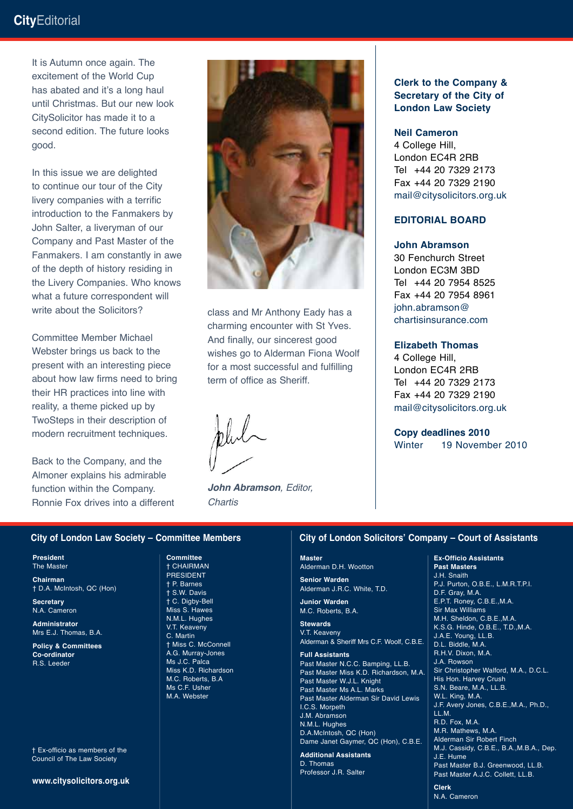It is Autumn once again. The excitement of the World Cup has abated and it's a long haul until Christmas. But our new look CitySolicitor has made it to a second edition. The future looks good.

In this issue we are delighted to continue our tour of the City livery companies with a terrific introduction to the Fanmakers by John Salter, a liveryman of our Company and Past Master of the Fanmakers. I am constantly in awe of the depth of history residing in the Livery Companies. Who knows what a future correspondent will write about the Solicitors?

Committee Member Michael Webster brings us back to the present with an interesting piece about how law firms need to bring their HR practices into line with reality, a theme picked up by TwoSteps in their description of modern recruitment techniques.

Back to the Company, and the Almoner explains his admirable function within the Company. Ronnie Fox drives into a different



class and Mr Anthony Eady has a charming encounter with St Yves. And finally, our sincerest good wishes go to Alderman Fiona Woolf for a most successful and fulfilling term of office as Sheriff.

*John Abramson, Editor, Chartis*

#### **Clerk to the Company & Secretary of the City of London Law Society**

#### **Neil Cameron**

4 College Hill, London EC4R 2RB Tel +44 20 7329 2173 Fax +44 20 7329 2190 mail@citysolicitors.org.uk

#### **Editorial board**

#### **John Abramson**

30 Fenchurch Street London EC3M 3BD Tel +44 20 7954 8525 Fax +44 20 7954 8961 john.abramson@ chartisinsurance.com

#### **Elizabeth Thomas**

4 College Hill, London EC4R 2RB Tel +44 20 7329 2173 Fax +44 20 7329 2190 mail@citysolicitors.org.uk

**Copy deadlines 2010** Winter 19 November 2010

#### **City of London Law Society – Committee Members**

**President** The Master

**Chairman** † D.A. McIntosh, QC (Hon)

**Secretary** N.A. Cameron

**Administrator** Mrs E.J. Thomas, B.A.

**Policy & Committees Co-ordinator** R.S. Leeder

† Ex-officio as members of the Council of The Law Society

**www.citysolicitors.org.uk**

**Committee** † CHAIRMAN PRESIDENT † P. Barnes † S.W. Davis † C. Digby-Bell Miss S. Hawes N.M.L. Hughes V.T. Keaveny C. Martin † Miss C. McConnell A.G. Murray-Jones Ms J.C. Palca Miss K.D. Richardson M.C. Roberts, B.A Ms C.F. Usher M.A. Webster

#### **City of London Solicitors' Company – Court of Assistants**

**Master** Alderman D.H. Wootton

**Senior Warden** Alderman J.R.C. White, T.D.

**Junior Warden** M.C. Roberts, B.A.

**Stewards** V.T. Keaveny Alderman & Sheriff Mrs C.F. Woolf, C.B.E.

**Full Assistants** Past Master N.C.C. Bamping, LL.B. Past Master Miss K.D. Richardson, M.A. Past Master W.J.L. Knight Past Master Ms A.L. Marks Past Master Alderman Sir David Lewis I.C.S. Morpeth J.M. Abramson N.M.L. Hughes D.A.McIntosh, QC (Hon) Dame Janet Gaymer, QC (Hon), C.B.E.

**Additional Assistants** D. Thomas Professor J.R. Salter

#### **Ex-Officio Assistants**

**Past Masters** J.H. Snaith P.J. Purton, O.B.E., L.M.R.T.P.I. D.F. Gray, M.A. E.P.T. Roney, C.B.E.,M.A. Sir Max Williams M.H. Sheldon, C.B.E.,M.A. K.S.G. Hinde, O.B.E., T.D.,M.A. J.A.E. Young, LL.B. D.L. Biddle, M.A. R.H.V. Dixon, M.A. J.A. Rowson Sir Christopher Walford, M.A., D.C.L. His Hon. Harvey Crush S.N. Beare, M.A., LL.B. W.L. King, M.A. J.F. Avery Jones, C.B.E.,M.A., Ph.D., LL.M. R.D. Fox, M.A. M.R. Mathews, M.A. Alderman Sir Robert Finch M.J. Cassidy, C.B.E., B.A.,M.B.A., Dep. J.E. Hume Past Master B.J. Greenwood, LL.B. Past Master A.J.C. Collett, LL.B.

**Clerk** N.A. Cameron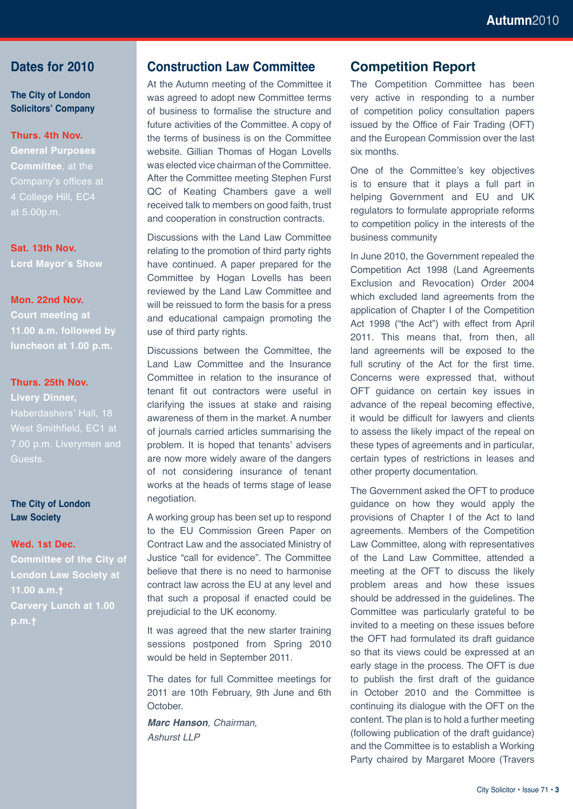#### **Dates for 2010**

**The City of London Solicitors' Company**

#### **Thurs. 4th Nov.**

**General Purposes Committee**, at the Company's offices at 4 College Hill, EC4 at 5.00p.m.

**Sat. 13th Nov. Lord Mayor's Show**

**Mon. 22nd Nov.** 

**Court meeting at 11.00 a.m. followed by luncheon at 1.00 p.m.**

#### **Thurs. 25th Nov.**

**Livery Dinner,**  Haberdashers' Hall, 18 West Smithfield, EC1 at Guests.

#### **The City of London Law Society**

#### **Wed. 1st Dec.**

**Committee of the City of London Law Society at 11.00 a.m.† Carvery Lunch at 1.00** 

#### **Construction Law Committee**

At the Autumn meeting of the Committee it was agreed to adopt new Committee terms of business to formalise the structure and future activities of the Committee. A copy of the terms of business is on the Committee website. Gillian Thomas of Hogan Lovells was elected vice chairman of the Committee. After the Committee meeting Stephen Furst QC of Keating Chambers gave a well received talk to members on good faith, trust and cooperation in construction contracts.

Discussions with the Land Law Committee relating to the promotion of third party rights have continued. A paper prepared for the Committee by Hogan Lovells has been reviewed by the Land Law Committee and will be reissued to form the basis for a press and educational campaign promoting the use of third party rights.

Discussions between the Committee, the Land Law Committee and the Insurance Committee in relation to the insurance of tenant fit out contractors were useful in clarifying the issues at stake and raising awareness of them in the market. A number of journals carried articles summarising the problem. It is hoped that tenants' advisers are now more widely aware of the dangers of not considering insurance of tenant works at the heads of terms stage of lease negotiation.

A working group has been set up to respond to the EU Commission Green Paper on Contract Law and the associated Ministry of Justice "call for evidence". The Committee believe that there is no need to harmonise contract law across the EU at any level and that such a proposal if enacted could be prejudicial to the UK economy.

It was agreed that the new starter training sessions postponed from Spring 2010 would be held in September 2011.

The dates for full Committee meetings for 2011 are 10th February, 9th June and 6th October.

*Marc Hanson, Chairman, Ashurst LLP*

### **Competition Report**

The Competition Committee has been very active in responding to a number of competition policy consultation papers issued by the Office of Fair Trading (OFT) and the European Commission over the last six months.

One of the Committee's key objectives is to ensure that it plays a full part in helping Government and EU and UK regulators to formulate appropriate reforms to competition policy in the interests of the business community

In June 2010, the Government repealed the Competition Act 1998 (Land Agreements Exclusion and Revocation) Order 2004 which excluded land agreements from the application of Chapter I of the Competition Act 1998 ("the Act") with effect from April 2011. This means that, from then, all land agreements will be exposed to the full scrutiny of the Act for the first time. Concerns were expressed that, without OFT guidance on certain key issues in advance of the repeal becoming effective, it would be difficult for lawyers and clients to assess the likely impact of the repeal on these types of agreements and in particular, certain types of restrictions in leases and other property documentation.

The Government asked the OFT to produce guidance on how they would apply the provisions of Chapter I of the Act to land agreements. Members of the Competition Law Committee, along with representatives of the Land Law Committee, attended a meeting at the OFT to discuss the likely problem areas and how these issues should be addressed in the guidelines. The Committee was particularly grateful to be invited to a meeting on these issues before the OFT had formulated its draft guidance so that its views could be expressed at an early stage in the process. The OFT is due to publish the first draft of the guidance in October 2010 and the Committee is continuing its dialogue with the OFT on the content. The plan is to hold a further meeting (following publication of the draft guidance) and the Committee is to establish a Working Party chaired by Margaret Moore (Travers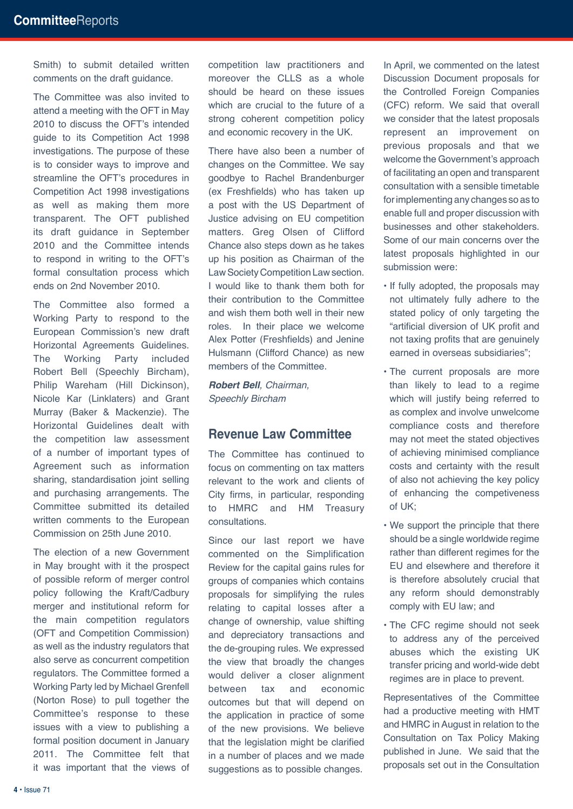Smith) to submit detailed written comments on the draft guidance.

The Committee was also invited to attend a meeting with the OFT in May 2010 to discuss the OFT's intended guide to its Competition Act 1998 investigations. The purpose of these is to consider ways to improve and streamline the OFT's procedures in Competition Act 1998 investigations as well as making them more transparent. The OFT published its draft guidance in September 2010 and the Committee intends to respond in writing to the OFT's formal consultation process which ends on 2nd November 2010.

The Committee also formed a Working Party to respond to the European Commission's new draft Horizontal Agreements Guidelines. The Working Party included Robert Bell (Speechly Bircham), Philip Wareham (Hill Dickinson), Nicole Kar (Linklaters) and Grant Murray (Baker & Mackenzie). The Horizontal Guidelines dealt with the competition law assessment of a number of important types of Agreement such as information sharing, standardisation joint selling and purchasing arrangements. The Committee submitted its detailed written comments to the European Commission on 25th June 2010.

The election of a new Government in May brought with it the prospect of possible reform of merger control policy following the Kraft/Cadbury merger and institutional reform for the main competition regulators (OFT and Competition Commission) as well as the industry regulators that also serve as concurrent competition regulators. The Committee formed a Working Party led by Michael Grenfell (Norton Rose) to pull together the Committee's response to these issues with a view to publishing a formal position document in January 2011. The Committee felt that it was important that the views of competition law practitioners and moreover the CLLS as a whole should be heard on these issues which are crucial to the future of a strong coherent competition policy and economic recovery in the UK.

There have also been a number of changes on the Committee. We say goodbye to Rachel Brandenburger (ex Freshfields) who has taken up a post with the US Department of Justice advising on EU competition matters. Greg Olsen of Clifford Chance also steps down as he takes up his position as Chairman of the Law Society Competition Law section. I would like to thank them both for their contribution to the Committee and wish them both well in their new roles. In their place we welcome Alex Potter (Freshfields) and Jenine Hulsmann (Clifford Chance) as new members of the Committee.

*Robert Bell, Chairman, Speechly Bircham*

#### **Revenue Law Committee**

The Committee has continued to focus on commenting on tax matters relevant to the work and clients of City firms, in particular, responding to HMRC and HM Treasury consultations.

Since our last report we have commented on the Simplification Review for the capital gains rules for groups of companies which contains proposals for simplifying the rules relating to capital losses after a change of ownership, value shifting and depreciatory transactions and the de-grouping rules. We expressed the view that broadly the changes would deliver a closer alignment between tax and economic outcomes but that will depend on the application in practice of some of the new provisions. We believe that the legislation might be clarified in a number of places and we made suggestions as to possible changes.

In April, we commented on the latest Discussion Document proposals for the Controlled Foreign Companies (CFC) reform. We said that overall we consider that the latest proposals represent an improvement on previous proposals and that we welcome the Government's approach of facilitating an open and transparent consultation with a sensible timetable for implementing any changes so as to enable full and proper discussion with businesses and other stakeholders. Some of our main concerns over the latest proposals highlighted in our submission were:

- If fully adopted, the proposals may not ultimately fully adhere to the stated policy of only targeting the "artificial diversion of UK profit and not taxing profits that are genuinely earned in overseas subsidiaries";
- The current proposals are more than likely to lead to a regime which will justify being referred to as complex and involve unwelcome compliance costs and therefore may not meet the stated objectives of achieving minimised compliance costs and certainty with the result of also not achieving the key policy of enhancing the competiveness of UK;
- We support the principle that there should be a single worldwide regime rather than different regimes for the EU and elsewhere and therefore it is therefore absolutely crucial that any reform should demonstrably comply with EU law; and
- The CFC regime should not seek to address any of the perceived abuses which the existing UK transfer pricing and world-wide debt regimes are in place to prevent.

Representatives of the Committee had a productive meeting with HMT and HMRC in August in relation to the Consultation on Tax Policy Making published in June. We said that the proposals set out in the Consultation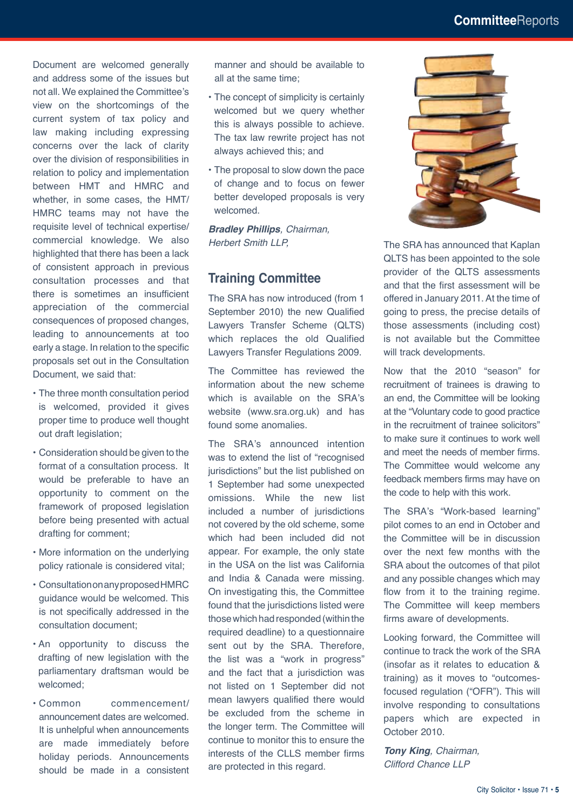Document are welcomed generally and address some of the issues but not all. We explained the Committee's view on the shortcomings of the current system of tax policy and law making including expressing concerns over the lack of clarity over the division of responsibilities in relation to policy and implementation between HMT and HMRC and whether, in some cases, the HMT/ HMRC teams may not have the requisite level of technical expertise/ commercial knowledge. We also highlighted that there has been a lack of consistent approach in previous consultation processes and that there is sometimes an insufficient appreciation of the commercial consequences of proposed changes, leading to announcements at too early a stage. In relation to the specific proposals set out in the Consultation Document, we said that:

- The three month consultation period is welcomed, provided it gives proper time to produce well thought out draft legislation;
- Consideration should be given to the format of a consultation process. It would be preferable to have an opportunity to comment on the framework of proposed legislation before being presented with actual drafting for comment;
- More information on the underlying policy rationale is considered vital;
- Consultation on any proposed HMRC guidance would be welcomed. This is not specifically addressed in the consultation document;
- An opportunity to discuss the drafting of new legislation with the parliamentary draftsman would be welcomed;
- Common commencement/ announcement dates are welcomed. It is unhelpful when announcements are made immediately before holiday periods. Announcements should be made in a consistent

manner and should be available to all at the same time;

- The concept of simplicity is certainly welcomed but we query whether this is always possible to achieve. The tax law rewrite project has not always achieved this; and
- The proposal to slow down the pace of change and to focus on fewer better developed proposals is very welcomed.

*Bradley Phillips, Chairman, Herbert Smith LLP,*

#### **Training Committee**

The SRA has now introduced (from 1 September 2010) the new Qualified Lawyers Transfer Scheme (QLTS) which replaces the old Qualified Lawyers Transfer Regulations 2009.

The Committee has reviewed the information about the new scheme which is available on the SRA's website (www.sra.org.uk) and has found some anomalies.

The SRA's announced intention was to extend the list of "recognised jurisdictions" but the list published on 1 September had some unexpected omissions. While the new list included a number of jurisdictions not covered by the old scheme, some which had been included did not appear. For example, the only state in the USA on the list was California and India & Canada were missing. On investigating this, the Committee found that the jurisdictions listed were those which had responded (within the required deadline) to a questionnaire sent out by the SRA. Therefore, the list was a "work in progress" and the fact that a jurisdiction was not listed on 1 September did not mean lawyers qualified there would be excluded from the scheme in the longer term. The Committee will continue to monitor this to ensure the interests of the CLLS member firms are protected in this regard.



The SRA has announced that Kaplan QLTS has been appointed to the sole provider of the QLTS assessments and that the first assessment will be offered in January 2011. At the time of going to press, the precise details of those assessments (including cost) is not available but the Committee will track developments.

Now that the 2010 "season" for recruitment of trainees is drawing to an end, the Committee will be looking at the "Voluntary code to good practice in the recruitment of trainee solicitors" to make sure it continues to work well and meet the needs of member firms. The Committee would welcome any feedback members firms may have on the code to help with this work.

The SRA's "Work-based learning" pilot comes to an end in October and the Committee will be in discussion over the next few months with the SRA about the outcomes of that pilot and any possible changes which may flow from it to the training regime. The Committee will keep members firms aware of developments.

Looking forward, the Committee will continue to track the work of the SRA (insofar as it relates to education & training) as it moves to "outcomesfocused regulation ("OFR"). This will involve responding to consultations papers which are expected in October 2010.

*Tony King, Chairman, Clifford Chance LLP*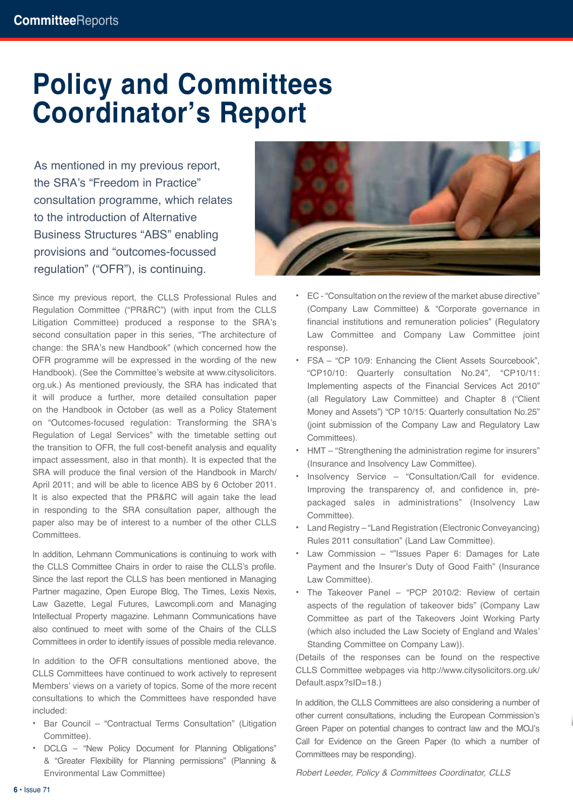### **Policy and Committees Coordinator's Report**

As mentioned in my previous report, the SRA's "Freedom in Practice" consultation programme, which relates to the introduction of Alternative Business Structures "ABS" enabling provisions and "outcomes-focussed regulation" ("OFR"), is continuing.

Since my previous report, the CLLS Professional Rules and Regulation Committee ("PR&RC") (with input from the CLLS Litigation Committee) produced a response to the SRA's second consultation paper in this series, "The architecture of change: the SRA's new Handbook" (which concerned how the OFR programme will be expressed in the wording of the new Handbook). (See the Committee's website at www.citysolicitors. org.uk.) As mentioned previously, the SRA has indicated that it will produce a further, more detailed consultation paper on the Handbook in October (as well as a Policy Statement on "Outcomes-focused regulation: Transforming the SRA's Regulation of Legal Services" with the timetable setting out the transition to OFR, the full cost-benefit analysis and equality impact assessment, also in that month). It is expected that the SRA will produce the final version of the Handbook in March/ April 2011; and will be able to licence ABS by 6 October 2011. It is also expected that the PR&RC will again take the lead in responding to the SRA consultation paper, although the paper also may be of interest to a number of the other CLLS Committees.

In addition, Lehmann Communications is continuing to work with the CLLS Committee Chairs in order to raise the CLLS's profile. Since the last report the CLLS has been mentioned in Managing Partner magazine, Open Europe Blog, The Times, Lexis Nexis, Law Gazette, Legal Futures, Lawcompli.com and Managing Intellectual Property magazine. Lehmann Communications have also continued to meet with some of the Chairs of the CLLS Committees in order to identify issues of possible media relevance.

In addition to the OFR consultations mentioned above, the CLLS Committees have continued to work actively to represent Members' views on a variety of topics. Some of the more recent consultations to which the Committees have responded have included:

- **•** Bar Council "Contractual Terms Consultation" (Litigation Committee).
- **•** DCLG "New Policy Document for Planning Obligations" & "Greater Flexibility for Planning permissions" (Planning & Environmental Law Committee)



- **•** EC "Consultation on the review of the market abuse directive" (Company Law Committee) & "Corporate governance in financial institutions and remuneration policies" (Regulatory Law Committee and Company Law Committee joint response).
- **•** FSA "CP 10/9: Enhancing the Client Assets Sourcebook", "CP10/10: Quarterly consultation No.24", "CP10/11: Implementing aspects of the Financial Services Act 2010" (all Regulatory Law Committee) and Chapter 8 ("Client Money and Assets") "CP 10/15: Quarterly consultation No.25" (joint submission of the Company Law and Regulatory Law Committees).
- **•** HMT "Strengthening the administration regime for insurers" (Insurance and Insolvency Law Committee).
- **•** Insolvency Service "Consultation/Call for evidence. Improving the transparency of, and confidence in, prepackaged sales in administrations" (Insolvency Law Committee).
- **•** Land Registry "Land Registration (Electronic Conveyancing) Rules 2011 consultation" (Land Law Committee).
- **•** Law Commission ""Issues Paper 6: Damages for Late Payment and the Insurer's Duty of Good Faith" (Insurance Law Committee).
- **•** The Takeover Panel "PCP 2010/2: Review of certain aspects of the regulation of takeover bids" (Company Law Committee as part of the Takeovers Joint Working Party (which also included the Law Society of England and Wales' Standing Committee on Company Law)).

(Details of the responses can be found on the respective CLLS Committee webpages via http://www.citysolicitors.org.uk/ Default.aspx?sID=18.)

In addition, the CLLS Committees are also considering a number of other current consultations, including the European Commission's Green Paper on potential changes to contract law and the MOJ's Call for Evidence on the Green Paper (to which a number of Committees may be responding).

*Robert Leeder, Policy & Committees Coordinator, CLLS*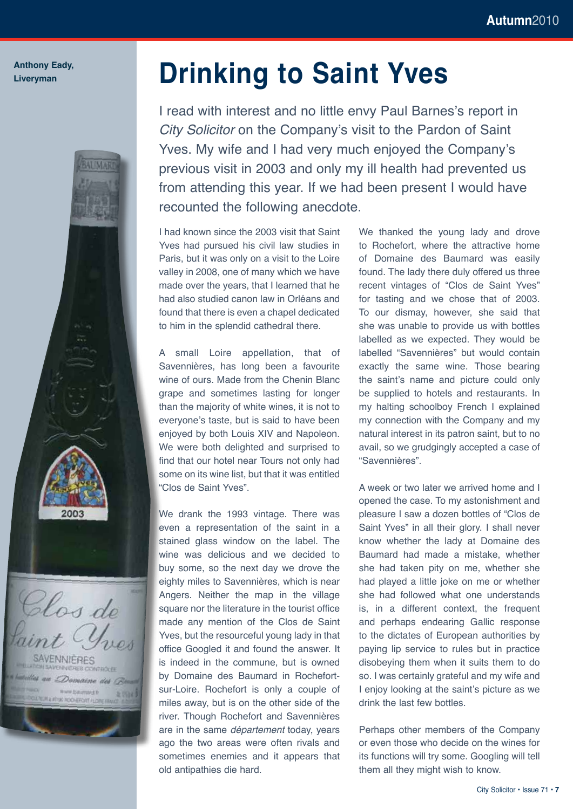#### **Anthony Eady, Liveryman**



Clos de AVENNIÈRES Domaine des B www.baumavir.li- $1.10340$ **00 BOOS EXCOTLER** 

## **Drinking to Saint Yves**

I read with interest and no little envy Paul Barnes's report in *City Solicitor* on the Company's visit to the Pardon of Saint Yves. My wife and I had very much enjoyed the Company's previous visit in 2003 and only my ill health had prevented us from attending this year. If we had been present I would have recounted the following anecdote.

I had known since the 2003 visit that Saint Yves had pursued his civil law studies in Paris, but it was only on a visit to the Loire valley in 2008, one of many which we have made over the years, that I learned that he had also studied canon law in Orléans and found that there is even a chapel dedicated to him in the splendid cathedral there.

A small Loire appellation, that of Savennières, has long been a favourite wine of ours. Made from the Chenin Blanc grape and sometimes lasting for longer than the majority of white wines, it is not to everyone's taste, but is said to have been enjoyed by both Louis XIV and Napoleon. We were both delighted and surprised to find that our hotel near Tours not only had some on its wine list, but that it was entitled "Clos de Saint Yves".

We drank the 1993 vintage. There was even a representation of the saint in a stained glass window on the label. The wine was delicious and we decided to buy some, so the next day we drove the eighty miles to Savennières, which is near Angers. Neither the map in the village square nor the literature in the tourist office made any mention of the Clos de Saint Yves, but the resourceful young lady in that office Googled it and found the answer. It is indeed in the commune, but is owned by Domaine des Baumard in Rochefortsur-Loire. Rochefort is only a couple of miles away, but is on the other side of the river. Though Rochefort and Savennières are in the same *département* today, years ago the two areas were often rivals and sometimes enemies and it appears that old antipathies die hard.

We thanked the young lady and drove to Rochefort, where the attractive home of Domaine des Baumard was easily found. The lady there duly offered us three recent vintages of "Clos de Saint Yves" for tasting and we chose that of 2003. To our dismay, however, she said that she was unable to provide us with bottles labelled as we expected. They would be labelled "Savennières" but would contain exactly the same wine. Those bearing the saint's name and picture could only be supplied to hotels and restaurants. In my halting schoolboy French I explained my connection with the Company and my natural interest in its patron saint, but to no avail, so we grudgingly accepted a case of "Savennières".

A week or two later we arrived home and I opened the case. To my astonishment and pleasure I saw a dozen bottles of "Clos de Saint Yves" in all their glory. I shall never know whether the lady at Domaine des Baumard had made a mistake, whether she had taken pity on me, whether she had played a little joke on me or whether she had followed what one understands is, in a different context, the frequent and perhaps endearing Gallic response to the dictates of European authorities by paying lip service to rules but in practice disobeying them when it suits them to do so. I was certainly grateful and my wife and I enjoy looking at the saint's picture as we drink the last few bottles.

Perhaps other members of the Company or even those who decide on the wines for its functions will try some. Googling will tell them all they might wish to know.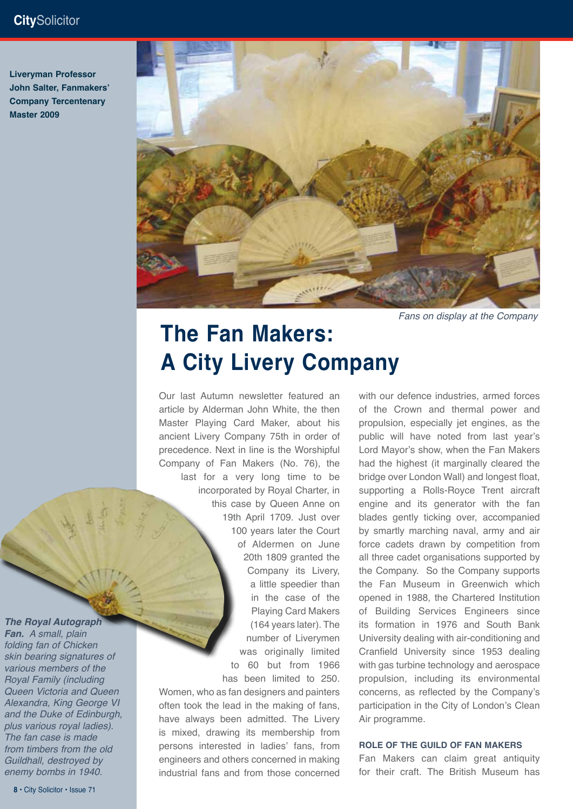### **City**Solicitor

**Liveryman Professor John Salter, Fanmakers' Company Tercentenary Master 2009**



*Fans on display at the Company*

### **The Fan Makers: A City Livery Company**

Our last Autumn newsletter featured an article by Alderman John White, the then Master Playing Card Maker, about his ancient Livery Company 75th in order of precedence. Next in line is the Worshipful Company of Fan Makers (No. 76), the last for a very long time to be incorporated by Royal Charter, in this case by Queen Anne on 19th April 1709. Just over 100 years later the Court of Aldermen on June 20th 1809 granted the Company its Livery, a little speedier than in the case of the Playing Card Makers (164 years later). The number of Liverymen was originally limited to 60 but from 1966 has been limited to 250.

Women, who as fan designers and painters often took the lead in the making of fans, have always been admitted. The Livery is mixed, drawing its membership from persons interested in ladies' fans, from engineers and others concerned in making industrial fans and from those concerned with our defence industries, armed forces of the Crown and thermal power and propulsion, especially jet engines, as the public will have noted from last year's Lord Mayor's show, when the Fan Makers had the highest (it marginally cleared the bridge over London Wall) and longest float, supporting a Rolls-Royce Trent aircraft engine and its generator with the fan blades gently ticking over, accompanied by smartly marching naval, army and air force cadets drawn by competition from all three cadet organisations supported by the Company. So the Company supports the Fan Museum in Greenwich which opened in 1988, the Chartered Institution of Building Services Engineers since its formation in 1976 and South Bank University dealing with air-conditioning and Cranfield University since 1953 dealing with gas turbine technology and aerospace propulsion, including its environmental concerns, as reflected by the Company's participation in the City of London's Clean Air programme.

#### **ROLE OF THE GUILD OF FAN MAKERS**

Fan Makers can claim great antiquity for their craft. The British Museum has

### *The Royal Autograph*

*Fan. A small, plain folding fan of Chicken skin bearing signatures of various members of the Royal Family (including Queen Victoria and Queen Alexandra, King George VI and the Duke of Edinburgh, plus various royal ladies). The fan case is made from timbers from the old Guildhall, destroyed by enemy bombs in 1940.*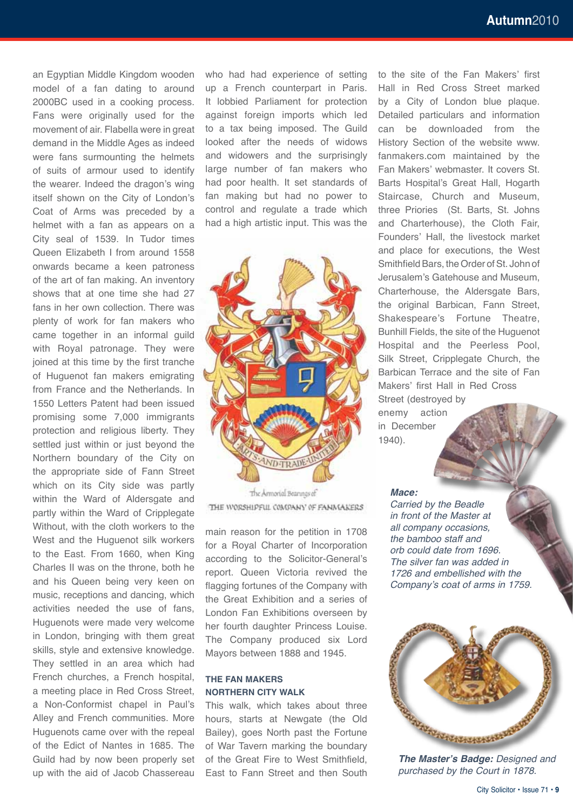an Egyptian Middle Kingdom wooden model of a fan dating to around 2000BC used in a cooking process. Fans were originally used for the movement of air. Flabella were in great demand in the Middle Ages as indeed were fans surmounting the helmets of suits of armour used to identify the wearer. Indeed the dragon's wing itself shown on the City of London's Coat of Arms was preceded by a helmet with a fan as appears on a City seal of 1539. In Tudor times Queen Elizabeth I from around 1558 onwards became a keen patroness of the art of fan making. An inventory shows that at one time she had 27 fans in her own collection. There was plenty of work for fan makers who came together in an informal guild with Royal patronage. They were joined at this time by the first tranche of Huguenot fan makers emigrating from France and the Netherlands. In 1550 Letters Patent had been issued promising some 7,000 immigrants protection and religious liberty. They settled just within or just beyond the Northern boundary of the City on the appropriate side of Fann Street which on its City side was partly within the Ward of Aldersgate and partly within the Ward of Cripplegate Without, with the cloth workers to the West and the Huguenot silk workers to the East. From 1660, when King Charles II was on the throne, both he and his Queen being very keen on music, receptions and dancing, which activities needed the use of fans, Huguenots were made very welcome in London, bringing with them great skills, style and extensive knowledge. They settled in an area which had French churches, a French hospital, a meeting place in Red Cross Street, a Non-Conformist chapel in Paul's Alley and French communities. More Huguenots came over with the repeal of the Edict of Nantes in 1685. The Guild had by now been properly set

up with the aid of Jacob Chassereau

who had had experience of setting up a French counterpart in Paris. It lobbied Parliament for protection against foreign imports which led to a tax being imposed. The Guild looked after the needs of widows and widowers and the surprisingly large number of fan makers who had poor health. It set standards of fan making but had no power to control and regulate a trade which had a high artistic input. This was the



The Armorial Bearings of THE WORSHIPFUL COMPANY OF FANMAKERS

main reason for the petition in 1708 for a Royal Charter of Incorporation according to the Solicitor-General's report. Queen Victoria revived the flagging fortunes of the Company with the Great Exhibition and a series of London Fan Exhibitions overseen by her fourth daughter Princess Louise. The Company produced six Lord Mayors between 1888 and 1945.

#### **THE FAN MAKERS NORTHERN CITY WALK**

This walk, which takes about three hours, starts at Newgate (the Old Bailey), goes North past the Fortune of War Tavern marking the boundary of the Great Fire to West Smithfield, East to Fann Street and then South

to the site of the Fan Makers' first Hall in Red Cross Street marked by a City of London blue plaque. Detailed particulars and information can be downloaded from the History Section of the website www. fanmakers.com maintained by the Fan Makers' webmaster. It covers St. Barts Hospital's Great Hall, Hogarth Staircase, Church and Museum, three Priories (St. Barts, St. Johns and Charterhouse), the Cloth Fair, Founders' Hall, the livestock market and place for executions, the West Smithfield Bars, the Order of St. John of Jerusalem's Gatehouse and Museum, Charterhouse, the Aldersgate Bars, the original Barbican, Fann Street, Shakespeare's Fortune Theatre, Bunhill Fields, the site of the Huguenot Hospital and the Peerless Pool, Silk Street, Cripplegate Church, the Barbican Terrace and the site of Fan Makers' first Hall in Red Cross Street (destroyed by enemy action

in December 1940).

#### *Mace:*

*Carried by the Beadle in front of the Master at all company occasions, the bamboo staff and orb could date from 1696. The silver fan was added in 1726 and embellished with the Company's coat of arms in 1759.*



*The Master's Badge: Designed and purchased by the Court in 1878.*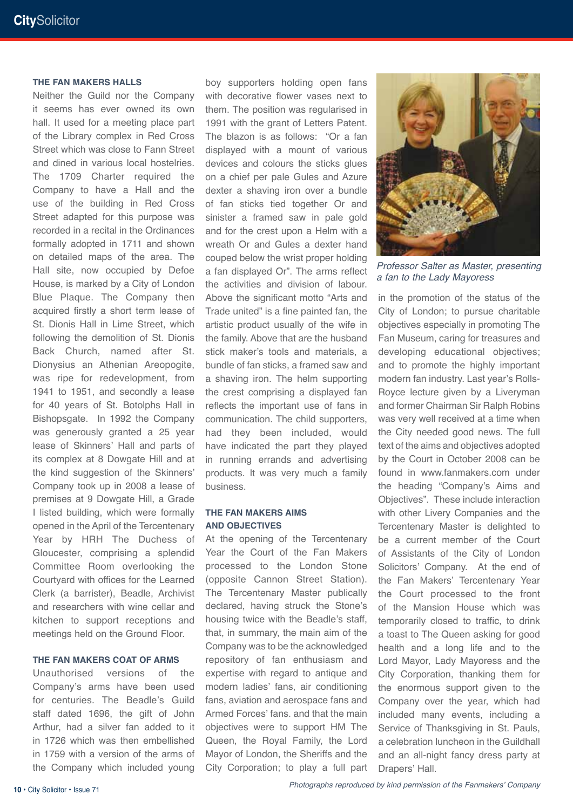#### **THE FAN MAKERS HALLS**

Neither the Guild nor the Company it seems has ever owned its own hall. It used for a meeting place part of the Library complex in Red Cross Street which was close to Fann Street and dined in various local hostelries. The 1709 Charter required the Company to have a Hall and the use of the building in Red Cross Street adapted for this purpose was recorded in a recital in the Ordinances formally adopted in 1711 and shown on detailed maps of the area. The Hall site, now occupied by Defoe House, is marked by a City of London Blue Plaque. The Company then acquired firstly a short term lease of St. Dionis Hall in Lime Street, which following the demolition of St. Dionis Back Church, named after St. Dionysius an Athenian Areopogite, was ripe for redevelopment, from 1941 to 1951, and secondly a lease for 40 years of St. Botolphs Hall in Bishopsgate. In 1992 the Company was generously granted a 25 year lease of Skinners' Hall and parts of its complex at 8 Dowgate Hill and at the kind suggestion of the Skinners' Company took up in 2008 a lease of premises at 9 Dowgate Hill, a Grade I listed building, which were formally opened in the April of the Tercentenary Year by HRH The Duchess of Gloucester, comprising a splendid Committee Room overlooking the Courtyard with offices for the Learned Clerk (a barrister), Beadle, Archivist and researchers with wine cellar and kitchen to support receptions and meetings held on the Ground Floor.

#### **THE FAN MAKERS COAT OF ARMS**

Unauthorised versions of the Company's arms have been used for centuries. The Beadle's Guild staff dated 1696, the gift of John Arthur, had a silver fan added to it in 1726 which was then embellished in 1759 with a version of the arms of the Company which included young

boy supporters holding open fans with decorative flower vases next to them. The position was regularised in 1991 with the grant of Letters Patent. The blazon is as follows: "Or a fan displayed with a mount of various devices and colours the sticks glues on a chief per pale Gules and Azure dexter a shaving iron over a bundle of fan sticks tied together Or and sinister a framed saw in pale gold and for the crest upon a Helm with a wreath Or and Gules a dexter hand couped below the wrist proper holding a fan displayed Or". The arms reflect the activities and division of labour. Above the significant motto "Arts and Trade united" is a fine painted fan, the artistic product usually of the wife in the family. Above that are the husband stick maker's tools and materials, a bundle of fan sticks, a framed saw and a shaving iron. The helm supporting the crest comprising a displayed fan reflects the important use of fans in communication. The child supporters, had they been included, would have indicated the part they played in running errands and advertising products. It was very much a family business.

#### **THE FAN MAKERS AIMS AND OBJECTIVES**

At the opening of the Tercentenary Year the Court of the Fan Makers processed to the London Stone (opposite Cannon Street Station). The Tercentenary Master publically declared, having struck the Stone's housing twice with the Beadle's staff, that, in summary, the main aim of the Company was to be the acknowledged repository of fan enthusiasm and expertise with regard to antique and modern ladies' fans, air conditioning fans, aviation and aerospace fans and Armed Forces' fans. and that the main objectives were to support HM The Queen, the Royal Family, the Lord Mayor of London, the Sheriffs and the City Corporation; to play a full part



*Professor Salter as Master, presenting a fan to the Lady Mayoress*

in the promotion of the status of the City of London; to pursue charitable objectives especially in promoting The Fan Museum, caring for treasures and developing educational objectives; and to promote the highly important modern fan industry. Last year's Rolls-Royce lecture given by a Liveryman and former Chairman Sir Ralph Robins was very well received at a time when the City needed good news. The full text of the aims and objectives adopted by the Court in October 2008 can be found in www.fanmakers.com under the heading "Company's Aims and Objectives". These include interaction with other Livery Companies and the Tercentenary Master is delighted to be a current member of the Court of Assistants of the City of London Solicitors' Company. At the end of the Fan Makers' Tercentenary Year the Court processed to the front of the Mansion House which was temporarily closed to traffic, to drink a toast to The Queen asking for good health and a long life and to the Lord Mayor, Lady Mayoress and the City Corporation, thanking them for the enormous support given to the Company over the year, which had included many events, including a Service of Thanksgiving in St. Pauls, a celebration luncheon in the Guildhall and an all-night fancy dress party at Drapers' Hall.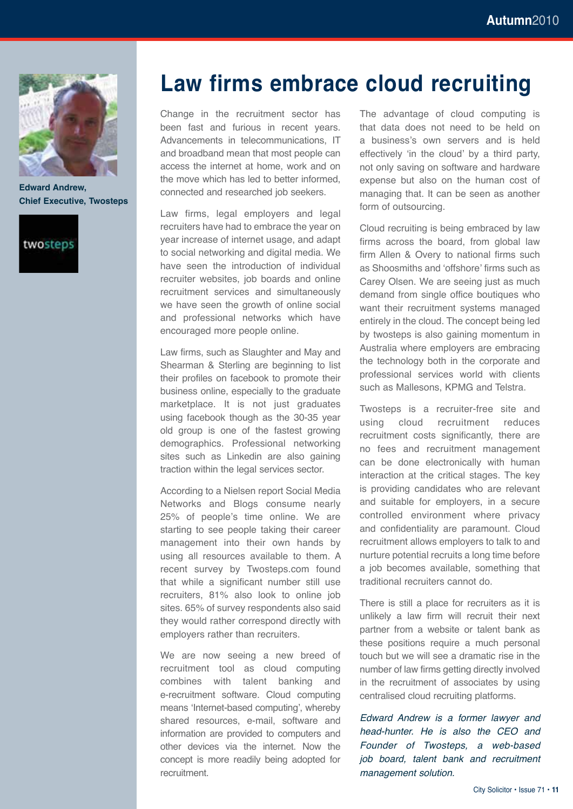

**Edward Andrew, Chief Executive, Twosteps**



### **Law firms embrace cloud recruiting**

Change in the recruitment sector has been fast and furious in recent years. Advancements in telecommunications, IT and broadband mean that most people can access the internet at home, work and on the move which has led to better informed, connected and researched job seekers.

Law firms, legal employers and legal recruiters have had to embrace the year on year increase of internet usage, and adapt to social networking and digital media. We have seen the introduction of individual recruiter websites, job boards and online recruitment services and simultaneously we have seen the growth of online social and professional networks which have encouraged more people online.

Law firms, such as Slaughter and May and Shearman & Sterling are beginning to list their profiles on facebook to promote their business online, especially to the graduate marketplace. It is not just graduates using facebook though as the 30-35 year old group is one of the fastest growing demographics. Professional networking sites such as Linkedin are also gaining traction within the legal services sector.

According to a Nielsen report Social Media Networks and Blogs consume nearly 25% of people's time online. We are starting to see people taking their career management into their own hands by using all resources available to them. A recent survey by Twosteps.com found that while a significant number still use recruiters, 81% also look to online job sites. 65% of survey respondents also said they would rather correspond directly with employers rather than recruiters.

We are now seeing a new breed of recruitment tool as cloud computing combines with talent banking and e-recruitment software. Cloud computing means 'Internet-based computing', whereby shared resources, e-mail, software and information are provided to computers and other devices via the internet. Now the concept is more readily being adopted for recruitment.

The advantage of cloud computing is that data does not need to be held on a business's own servers and is held effectively 'in the cloud' by a third party, not only saving on software and hardware expense but also on the human cost of managing that. It can be seen as another form of outsourcing.

Cloud recruiting is being embraced by law firms across the board, from global law firm Allen & Overy to national firms such as Shoosmiths and 'offshore' firms such as Carey Olsen. We are seeing just as much demand from single office boutiques who want their recruitment systems managed entirely in the cloud. The concept being led by twosteps is also gaining momentum in Australia where employers are embracing the technology both in the corporate and professional services world with clients such as Mallesons, KPMG and Telstra.

Twosteps is a recruiter-free site and using cloud recruitment reduces recruitment costs significantly, there are no fees and recruitment management can be done electronically with human interaction at the critical stages. The key is providing candidates who are relevant and suitable for employers, in a secure controlled environment where privacy and confidentiality are paramount. Cloud recruitment allows employers to talk to and nurture potential recruits a long time before a job becomes available, something that traditional recruiters cannot do.

There is still a place for recruiters as it is unlikely a law firm will recruit their next partner from a website or talent bank as these positions require a much personal touch but we will see a dramatic rise in the number of law firms getting directly involved in the recruitment of associates by using centralised cloud recruiting platforms.

*Edward Andrew is a former lawyer and head-hunter. He is also the CEO and Founder of Twosteps, a web-based job board, talent bank and recruitment management solution.*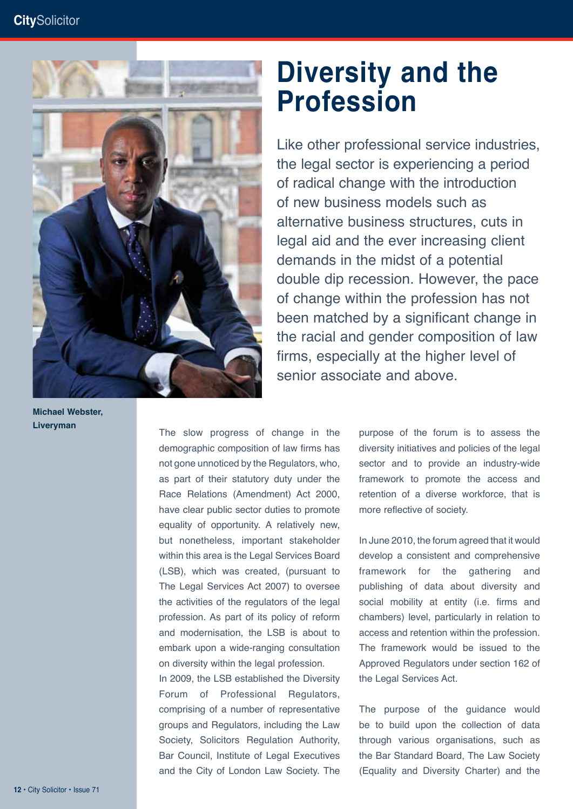

**Michael Webster, Liveryman**

### **Diversity and the Profession**

Like other professional service industries, the legal sector is experiencing a period of radical change with the introduction of new business models such as alternative business structures, cuts in legal aid and the ever increasing client demands in the midst of a potential double dip recession. However, the pace of change within the profession has not been matched by a significant change in the racial and gender composition of law firms, especially at the higher level of senior associate and above.

The slow progress of change in the demographic composition of law firms has not gone unnoticed by the Regulators, who, as part of their statutory duty under the Race Relations (Amendment) Act 2000, have clear public sector duties to promote equality of opportunity. A relatively new, but nonetheless, important stakeholder within this area is the Legal Services Board (LSB), which was created, (pursuant to The Legal Services Act 2007) to oversee the activities of the regulators of the legal profession. As part of its policy of reform and modernisation, the LSB is about to embark upon a wide-ranging consultation on diversity within the legal profession. In 2009, the LSB established the Diversity Forum of Professional Regulators, comprising of a number of representative groups and Regulators, including the Law Society, Solicitors Regulation Authority, Bar Council, Institute of Legal Executives and the City of London Law Society. The

purpose of the forum is to assess the diversity initiatives and policies of the legal sector and to provide an industry-wide framework to promote the access and retention of a diverse workforce, that is more reflective of society.

In June 2010, the forum agreed that it would develop a consistent and comprehensive framework for the gathering and publishing of data about diversity and social mobility at entity (i.e. firms and chambers) level, particularly in relation to access and retention within the profession. The framework would be issued to the Approved Regulators under section 162 of the Legal Services Act.

The purpose of the guidance would be to build upon the collection of data through various organisations, such as the Bar Standard Board, The Law Society (Equality and Diversity Charter) and the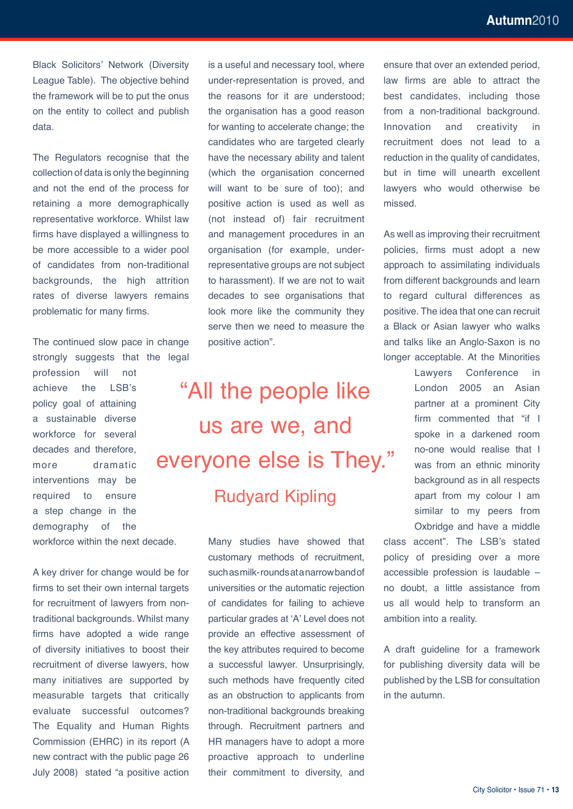Black Solicitors' Network (Diversity League Table). The objective behind the framework will be to put the onus on the entity to collect and publish data.

The Regulators recognise that the collection of data is only the beginning and not the end of the process for retaining a more demographically representative workforce. Whilst law firms have displayed a willingness to be more accessible to a wider pool of candidates from non-traditional backgrounds, the high attrition rates of diverse lawyers remains problematic for many firms.

The continued slow pace in change strongly suggests that the legal

profession will not achieve the LSB's policy goal of attaining a sustainable diverse workforce for several decades and therefore, more dramatic interventions may be required to ensure a step change in the demography of the workforce within the next decade.

A key driver for change would be for firms to set their own internal targets for recruitment of lawyers from nontraditional backgrounds. Whilst many firms have adopted a wide range of diversity initiatives to boost their recruitment of diverse lawyers, how many initiatives are supported by measurable targets that critically evaluate successful outcomes? The Equality and Human Rights Commission (EHRC) in its report (A new contract with the public page 26 July 2008) stated "a positive action is a useful and necessary tool, where under-representation is proved, and the reasons for it are understood; the organisation has a good reason for wanting to accelerate change; the candidates who are targeted clearly have the necessary ability and talent (which the organisation concerned will want to be sure of too); and positive action is used as well as (not instead of) fair recruitment and management procedures in an organisation (for example, underrepresentative groups are not subject to harassment). If we are not to wait decades to see organisations that look more like the community they serve then we need to measure the positive action".

# "All the people like us are we, and everyone else is They." Rudyard Kipling

Many studies have showed that customary methods of recruitment, such as milk- rounds at a narrow band of universities or the automatic rejection of candidates for failing to achieve particular grades at 'A' Level does not provide an effective assessment of the key attributes required to become a successful lawyer. Unsurprisingly, such methods have frequently cited as an obstruction to applicants from non-traditional backgrounds breaking through. Recruitment partners and HR managers have to adopt a more proactive approach to underline their commitment to diversity, and

ensure that over an extended period, law firms are able to attract the best candidates, including those from a non-traditional background. Innovation and creativity in recruitment does not lead to a reduction in the quality of candidates, but in time will unearth excellent lawyers who would otherwise be missed.

As well as improving their recruitment policies, firms must adopt a new approach to assimilating individuals from different backgrounds and learn to regard cultural differences as positive. The idea that one can recruit a Black or Asian lawyer who walks and talks like an Anglo-Saxon is no longer acceptable. At the Minorities

> Lawyers Conference in London 2005 an Asian partner at a prominent City firm commented that "if I spoke in a darkened room no-one would realise that I was from an ethnic minority background as in all respects apart from my colour I am similar to my peers from Oxbridge and have a middle

class accent". The LSB's stated policy of presiding over a more accessible profession is laudable – no doubt, a little assistance from us all would help to transform an ambition into a reality.

A draft guideline for a framework for publishing diversity data will be published by the LSB for consultation in the autumn.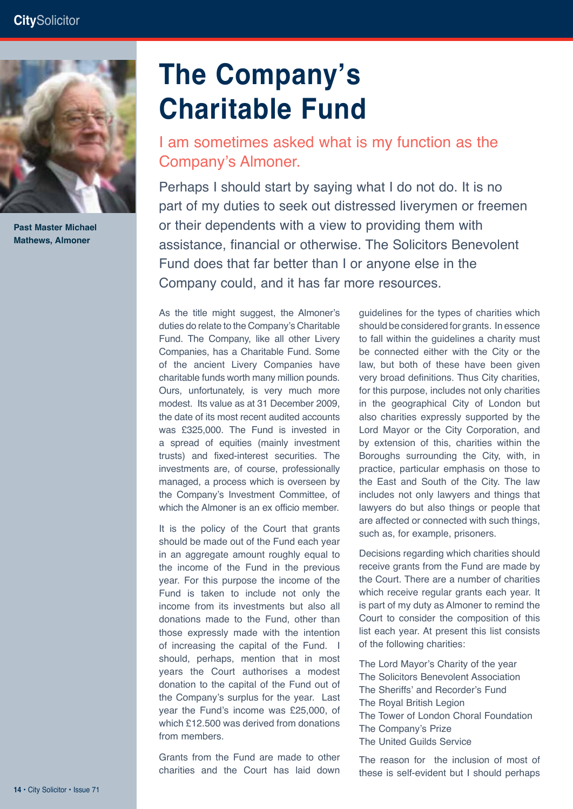

**Mathews, Almoner Past Master Michael** 

# **The Company's Charitable Fund**

I am sometimes asked what is my function as the Company's Almoner.

Perhaps I should start by saying what I do not do. It is no part of my duties to seek out distressed liverymen or freemen or their dependents with a view to providing them with assistance, financial or otherwise. The Solicitors Benevolent Fund does that far better than I or anyone else in the Company could, and it has far more resources.

As the title might suggest, the Almoner's duties do relate to the Company's Charitable Fund. The Company, like all other Livery Companies, has a Charitable Fund. Some of the ancient Livery Companies have charitable funds worth many million pounds. Ours, unfortunately, is very much more modest. Its value as at 31 December 2009, the date of its most recent audited accounts was £325,000. The Fund is invested in a spread of equities (mainly investment trusts) and fixed-interest securities. The investments are, of course, professionally managed, a process which is overseen by the Company's Investment Committee, of which the Almoner is an ex officio member.

It is the policy of the Court that grants should be made out of the Fund each year in an aggregate amount roughly equal to the income of the Fund in the previous year. For this purpose the income of the Fund is taken to include not only the income from its investments but also all donations made to the Fund, other than those expressly made with the intention of increasing the capital of the Fund. I should, perhaps, mention that in most years the Court authorises a modest donation to the capital of the Fund out of the Company's surplus for the year. Last year the Fund's income was £25,000, of which £12.500 was derived from donations from members.

Grants from the Fund are made to other charities and the Court has laid down guidelines for the types of charities which should be considered for grants. In essence to fall within the guidelines a charity must be connected either with the City or the law, but both of these have been given very broad definitions. Thus City charities, for this purpose, includes not only charities in the geographical City of London but also charities expressly supported by the Lord Mayor or the City Corporation, and by extension of this, charities within the Boroughs surrounding the City, with, in practice, particular emphasis on those to the East and South of the City. The law includes not only lawyers and things that lawyers do but also things or people that are affected or connected with such things, such as, for example, prisoners.

Decisions regarding which charities should receive grants from the Fund are made by the Court. There are a number of charities which receive regular grants each year. It is part of my duty as Almoner to remind the Court to consider the composition of this list each year. At present this list consists of the following charities:

The Lord Mayor's Charity of the year The Solicitors Benevolent Association The Sheriffs' and Recorder's Fund The Royal British Legion The Tower of London Choral Foundation The Company's Prize The United Guilds Service

The reason for the inclusion of most of these is self-evident but I should perhaps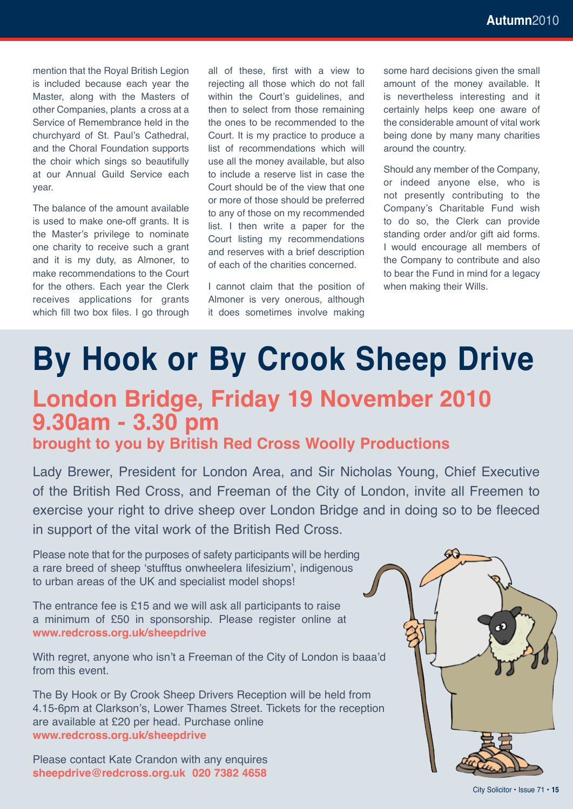mention that the Royal British Legion is included because each year the Master, along with the Masters of other Companies, plants a cross at a Service of Remembrance held in the churchyard of St. Paul's Cathedral, and the Choral Foundation supports the choir which sings so beautifully at our Annual Guild Service each year.

The balance of the amount available is used to make one-off grants. It is the Master's privilege to nominate one charity to receive such a grant and it is my duty, as Almoner, to make recommendations to the Court for the others. Each year the Clerk receives applications for grants which fill two box files. I go through

all of these, first with a view to rejecting all those which do not fall within the Court's guidelines, and then to select from those remaining the ones to be recommended to the Court. It is my practice to produce a list of recommendations which will use all the money available, but also to include a reserve list in case the Court should be of the view that one or more of those should be preferred to any of those on my recommended list. I then write a paper for the Court listing my recommendations and reserves with a brief description of each of the charities concerned.

I cannot claim that the position of Almoner is very onerous, although it does sometimes involve making

some hard decisions given the small amount of the money available. It is nevertheless interesting and it certainly helps keep one aware of the considerable amount of vital work being done by many many charities around the country.

Should any member of the Company, or indeed anyone else, who is not presently contributing to the Company's Charitable Fund wish to do so, the Clerk can provide standing order and/or gift aid forms. I would encourage all members of the Company to contribute and also to bear the Fund in mind for a legacy when making their Wills.

# **By Hook or By Crook Sheep Drive**

### **London Bridge, Friday 19 November 2010 9.30am - 3.30 pm**

### **brought to you by British Red Cross Woolly Productions**

Lady Brewer, President for London Area, and Sir Nicholas Young, Chief Executive of the British Red Cross, and Freeman of the City of London, invite all Freemen to exercise your right to drive sheep over London Bridge and in doing so to be fleeced in support of the vital work of the British Red Cross.

Please note that for the purposes of safety participants will be herding a rare breed of sheep 'stufftus onwheelera lifesizium', indigenous to urban areas of the UK and specialist model shops!

The entrance fee is £15 and we will ask all participants to raise a minimum of £50 in sponsorship. Please register online at **www.redcross.org.uk/sheepdrive** 

With regret, anyone who isn't a Freeman of the City of London is baaa'd from this event.

The By Hook or By Crook Sheep Drivers Reception will be held from 4.15-6pm at Clarkson's, Lower Thames Street. Tickets for the reception are available at £20 per head. Purchase online **www.redcross.org.uk/sheepdrive**

Please contact Kate Crandon with any enquires **sheepdrive@redcross.org.uk 020 7382 4658**